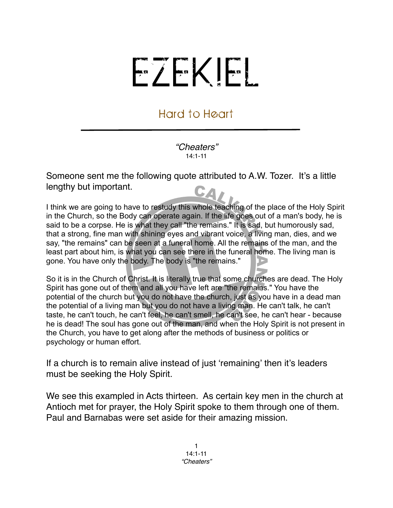## EZEKIEL

## Hard to Heart

## *"Cheaters"* 14:1-11

Someone sent me the following quote attributed to A.W. Tozer. It's a little lengthy but important. CAI

I think we are going to have to restudy this whole teaching of the place of the Holy Spirit in the Church, so the Body can operate again. If the life goes out of a man's body, he is said to be a corpse. He is what they call "the remains." It is sad, but humorously sad, that a strong, fine man with shining eyes and vibrant voice, a living man, dies, and we say, "the remains" can be seen at a funeral home. All the remains of the man, and the least part about him, is what you can see there in the funeral home. The living man is gone. You have only the body. The body is "the remains."

So it is in the Church of Christ. It is literally true that some churches are dead. The Holy Spirit has gone out of them and all you have left are "the remains." You have the potential of the church but you do not have the church, just as you have in a dead man the potential of a living man but you do not have a living man. He can't talk, he can't taste, he can't touch, he can't feel, he can't smell, he can't see, he can't hear - because he is dead! The soul has gone out of the man, and when the Holy Spirit is not present in the Church, you have to get along after the methods of business or politics or psychology or human effort.

If a church is to remain alive instead of just ʻremaining' then it's leaders must be seeking the Holy Spirit.

We see this exampled in Acts thirteen. As certain key men in the church at Antioch met for prayer, the Holy Spirit spoke to them through one of them. Paul and Barnabas were set aside for their amazing mission.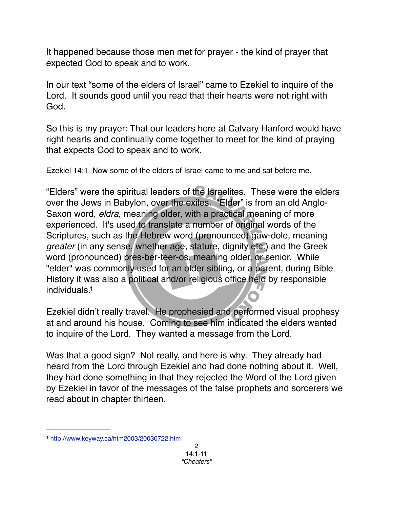It happened because those men met for prayer - the kind of prayer that expected God to speak and to work.

In our text "some of the elders of Israel" came to Ezekiel to inquire of the Lord. It sounds good until you read that their hearts were not right with God.

So this is my prayer: That our leaders here at Calvary Hanford would have right hearts and continually come together to meet for the kind of praying that expects God to speak and to work.

Ezekiel 14:1 Now some of the elders of Israel came to me and sat before me.

"Elders" were the spiritual leaders of the Israelites. These were the elders over the Jews in Babylon, over the exiles. "Elder" is from an old Anglo-Saxon word, *eldra*, meaning older, with a practical meaning of more experienced. It's used to translate a number of original words of the Scriptures, such as the [Hebrew](http://www.keyway.ca/htm2002/hebrewal.htm) word (pronounced) gaw-dole, meaning *greater* (in any sense, whether age, stature, dignity etc.) and the [Greek](http://www.keyway.ca/htm2002/greekal.htm) word (pronounced) pres-ber-teer-os, meaning older, or senior. While "elder" was commonly used for an older sibling, or a parent, during [Bible](http://www.keyway.ca/htm2002/biblhist.htm)  [History](http://www.keyway.ca/htm2002/biblhist.htm) it was also a political and/or religious office held by responsible individuals[.1](#page-1-0)

Ezekiel didn't really travel. He prophesied and performed visual prophesy at and around his house. Coming to see him indicated the elders wanted to inquire of the Lord. They wanted a message from the Lord.

Was that a good sign? Not really, and here is why. They already had heard from the Lord through Ezekiel and had done nothing about it. Well, they had done something in that they rejected the Word of the Lord given by Ezekiel in favor of the messages of the false prophets and sorcerers we read about in chapter thirteen.

<span id="page-1-0"></span><sup>1</sup> <http://www.keyway.ca/htm2003/20030722.htm>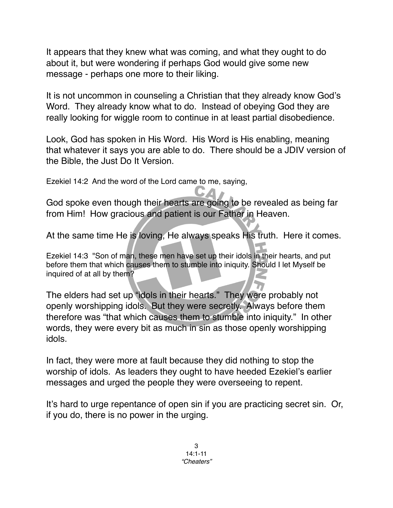It appears that they knew what was coming, and what they ought to do about it, but were wondering if perhaps God would give some new message - perhaps one more to their liking.

It is not uncommon in counseling a Christian that they already know God's Word. They already know what to do. Instead of obeying God they are really looking for wiggle room to continue in at least partial disobedience.

Look, God has spoken in His Word. His Word is His enabling, meaning that whatever it says you are able to do. There should be a JDIV version of the Bible, the Just Do It Version.

Ezekiel 14:2 And the word of the Lord came to me, saying,

God spoke even though their hearts are going to be revealed as being far from Him! How gracious and patient is our Father in Heaven.

At the same time He is loving, He always speaks His truth. Here it comes.

Ezekiel 14:3 "Son of man, these men have set up their idols in their hearts, and put before them that which causes them to stumble into iniquity. Should I let Myself be inquired of at all by them?

The elders had set up "idols in their hearts." They were probably not openly worshipping idols. But they were secretly. Always before them therefore was "that which causes them to stumble into iniquity." In other words, they were every bit as much in sin as those openly worshipping idols.

In fact, they were more at fault because they did nothing to stop the worship of idols. As leaders they ought to have heeded Ezekiel's earlier messages and urged the people they were overseeing to repent.

It's hard to urge repentance of open sin if you are practicing secret sin. Or, if you do, there is no power in the urging.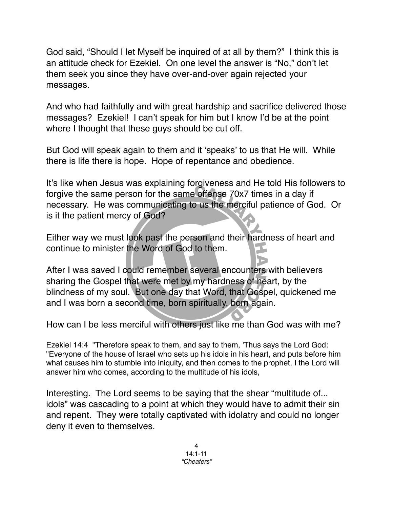God said, "Should I let Myself be inquired of at all by them?" I think this is an attitude check for Ezekiel. On one level the answer is "No," don't let them seek you since they have over-and-over again rejected your messages.

And who had faithfully and with great hardship and sacrifice delivered those messages? Ezekiel! I can't speak for him but I know I'd be at the point where I thought that these guys should be cut off.

But God will speak again to them and it ʻspeaks' to us that He will. While there is life there is hope. Hope of repentance and obedience.

It's like when Jesus was explaining forgiveness and He told His followers to forgive the same person for the same offense 70x7 times in a day if necessary. He was communicating to us the merciful patience of God. Or is it the patient mercy of God?

Either way we must look past the person and their hardness of heart and continue to minister the Word of God to them.

After I was saved I could remember several encounters with believers sharing the Gospel that were met by my hardness of heart, by the blindness of my soul. But one day that Word, that Gospel, quickened me and I was born a second time, born spiritually, born again.

How can I be less merciful with others just like me than God was with me?

Ezekiel 14:4 "Therefore speak to them, and say to them, 'Thus says the Lord God: "Everyone of the house of Israel who sets up his idols in his heart, and puts before him what causes him to stumble into iniquity, and then comes to the prophet, I the Lord will answer him who comes, according to the multitude of his idols,

Interesting. The Lord seems to be saying that the shear "multitude of... idols" was cascading to a point at which they would have to admit their sin and repent. They were totally captivated with idolatry and could no longer deny it even to themselves.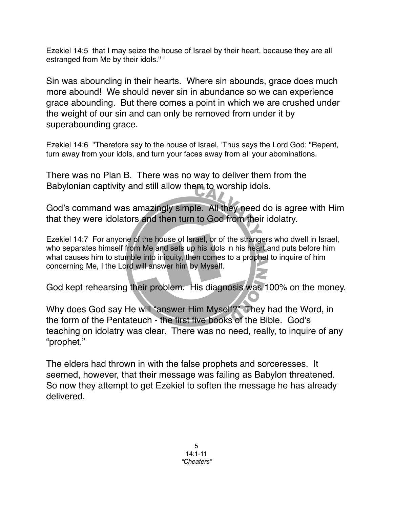Ezekiel 14:5 that I may seize the house of Israel by their heart, because they are all estranged from Me by their idols." '

Sin was abounding in their hearts. Where sin abounds, grace does much more abound! We should never sin in abundance so we can experience grace abounding. But there comes a point in which we are crushed under the weight of our sin and can only be removed from under it by superabounding grace.

Ezekiel 14:6 "Therefore say to the house of Israel, 'Thus says the Lord God: "Repent, turn away from your idols, and turn your faces away from all your abominations.

There was no Plan B. There was no way to deliver them from the Babylonian captivity and still allow them to worship idols.

God's command was amazingly simple. All they need do is agree with Him that they were idolators and then turn to God from their idolatry.

Ezekiel 14:7 For anyone of the house of Israel, or of the strangers who dwell in Israel, who separates himself from Me and sets up his idols in his heart and puts before him what causes him to stumble into iniquity, then comes to a prophet to inquire of him concerning Me, I the Lord will answer him by Myself.

God kept rehearsing their problem. His diagnosis was 100% on the money.

Why does God say He will "answer Him Myself?" They had the Word, in the form of the Pentateuch - the first five books of the Bible. God's teaching on idolatry was clear. There was no need, really, to inquire of any "prophet."

The elders had thrown in with the false prophets and sorceresses. It seemed, however, that their message was failing as Babylon threatened. So now they attempt to get Ezekiel to soften the message he has already delivered.

> 5 14:1-11 *"Cheaters"*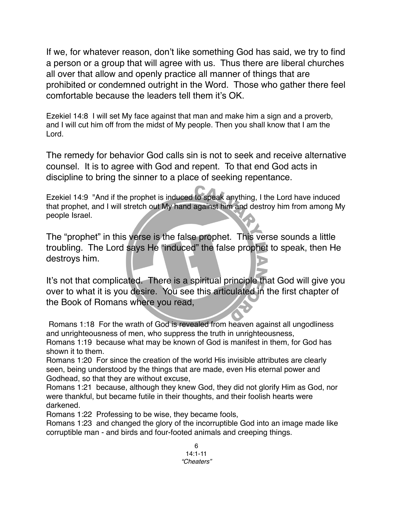If we, for whatever reason, don't like something God has said, we try to find a person or a group that will agree with us. Thus there are liberal churches all over that allow and openly practice all manner of things that are prohibited or condemned outright in the Word. Those who gather there feel comfortable because the leaders tell them it's OK.

Ezekiel 14:8 I will set My face against that man and make him a sign and a proverb, and I will cut him off from the midst of My people. Then you shall know that I am the Lord.

The remedy for behavior God calls sin is not to seek and receive alternative counsel. It is to agree with God and repent. To that end God acts in discipline to bring the sinner to a place of seeking repentance.

Ezekiel 14:9 "And if the prophet is induced to speak anything, I the Lord have induced that prophet, and I will stretch out My hand against him and destroy him from among My people Israel.

The "prophet" in this verse is the false prophet. This verse sounds a little troubling. The Lord says He "induced" the false prophet to speak, then He destroys him.

It's not that complicated. There is a spiritual principle that God will give you over to what it is you desire. You see this articulated in the first chapter of the Book of Romans where you read,

Romans 1:18 For the wrath of God is revealed from heaven against all ungodliness and unrighteousness of men, who suppress the truth in unrighteousness,

Romans 1:19 because what may be known of God is manifest in them, for God has shown it to them.

Romans 1:20 For since the creation of the world His invisible attributes are clearly seen, being understood by the things that are made, even His eternal power and Godhead, so that they are without excuse,

Romans 1:21 because, although they knew God, they did not glorify Him as God, nor were thankful, but became futile in their thoughts, and their foolish hearts were darkened.

Romans 1:22 Professing to be wise, they became fools,

Romans 1:23 and changed the glory of the incorruptible God into an image made like corruptible man - and birds and four-footed animals and creeping things.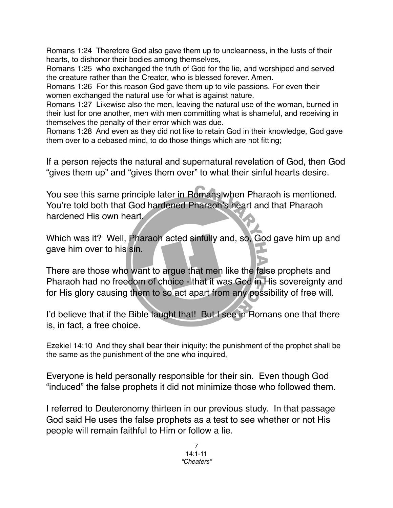Romans 1:24 Therefore God also gave them up to uncleanness, in the lusts of their hearts, to dishonor their bodies among themselves,

Romans 1:25 who exchanged the truth of God for the lie, and worshiped and served the creature rather than the Creator, who is blessed forever. Amen.

Romans 1:26 For this reason God gave them up to vile passions. For even their women exchanged the natural use for what is against nature.

Romans 1:27 Likewise also the men, leaving the natural use of the woman, burned in their lust for one another, men with men committing what is shameful, and receiving in themselves the penalty of their error which was due.

Romans 1:28 And even as they did not like to retain God in their knowledge, God gave them over to a debased mind, to do those things which are not fitting;

If a person rejects the natural and supernatural revelation of God, then God "gives them up" and "gives them over" to what their sinful hearts desire.

You see this same principle later in Romans when Pharaoh is mentioned. You're told both that God hardened Pharaoh's heart and that Pharaoh hardened His own heart.

Which was it? Well, Pharaoh acted sinfully and, so, God gave him up and gave him over to his sin.

There are those who want to argue that men like the false prophets and Pharaoh had no freedom of choice - that it was God in His sovereignty and for His glory causing them to so act apart from any possibility of free will.

I'd believe that if the Bible taught that! But I see in Romans one that there is, in fact, a free choice.

Ezekiel 14:10 And they shall bear their iniquity; the punishment of the prophet shall be the same as the punishment of the one who inquired,

Everyone is held personally responsible for their sin. Even though God "induced" the false prophets it did not minimize those who followed them.

I referred to Deuteronomy thirteen in our previous study. In that passage God said He uses the false prophets as a test to see whether or not His people will remain faithful to Him or follow a lie.